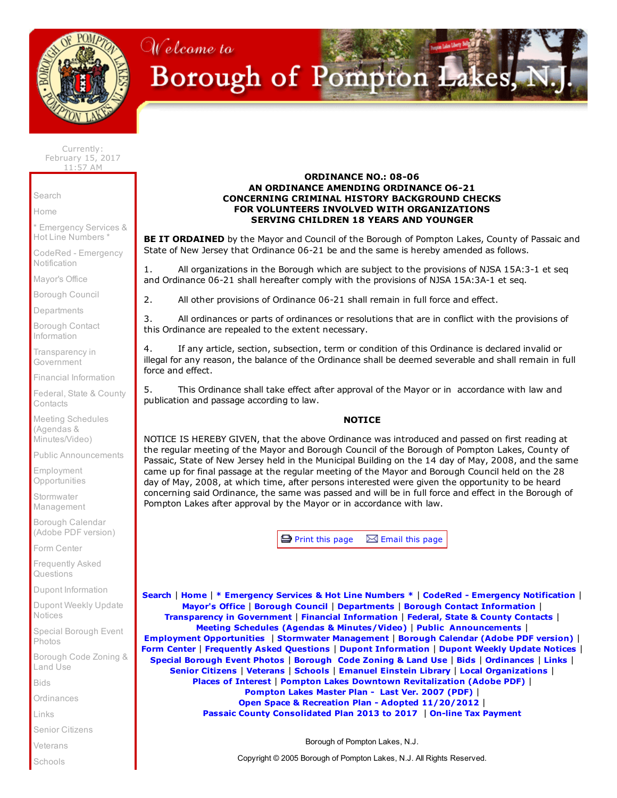

## Welcome to Borough of Pompton Lakes,

Currently: February 15, 2017 11:57 AM

[Search](http://www.pomptonlakesgov.com/Cit-e-Access/Search/?TID=36&TPID=4493)

[Home](http://www.pomptonlakesgov.com/index.cfm)

\* [Emergency](http://www.pomptonlakesgov.com/Cit-e-Access/webpage.cfm?TID=36&TPID=4865) Services & Hot Line Numbers \*

CodeRed - [Emergency](https://public.coderedweb.com/CNE/8050B2D9A5F0) **Notification** 

[Mayor's](http://www.pomptonlakesgov.com/Cit-e-Access/Mayor/?TID=36&TPID=4478) Office

[Borough](http://www.pomptonlakesgov.com/Cit-e-Access/TownCouncil/?TID=36&TPID=4479) Council

[Departments](http://www.pomptonlakesgov.com/Cit-e-Access/departments/?TID=36&TPID=4481)

Borough Contact [Information](http://www.pomptonlakesgov.com/Cit-e-Access/ContactInfo/?TID=36&TPID=4485)

[Transparency](http://www.pomptonlakesgov.com/Cit-e-Access/webpage.cfm?TID=36&TPID=15714) in **Government** 

Financial [Information](http://www.pomptonlakesgov.com/Cit-e-Access/webpage.cfm?TID=36&TPID=11467)

Federal, State & County **[Contacts](http://www.pomptonlakesgov.com/Cit-e-Access/webpage.cfm?TID=36&TPID=8554)** 

Meeting Schedules (Agendas & [Minutes/Video\)](http://www.pomptonlakesgov.com/Cit-e-Access/Meetings/?TID=36&TPID=4490)

Public [Announcements](http://www.pomptonlakesgov.com/Cit-e-Access/News/?TID=36&TPID=4486)

Employment **[Opportunities](http://www.pomptonlakesgov.com/Cit-e-Access/Employment/?TID=36&TPID=11514)** 

**Stormwater** [Management](http://www.pomptonlakesgov.com/Cit-e-Access/webpage.cfm?TID=36&TPID=15167)

Borough [Calendar](http://www.pomptonlakesgov.com/documents/borough%20calendar%20folder/pl.2016.calendar.web.pdf) (Adobe PDF version)

Form [Center](http://www.pomptonlakesgov.com/Cit-e-Access/FormCenter/?TID=36&TPID=4488)

[Frequently](http://www.pomptonlakesgov.com/Cit-e-Access/FAQ/?TID=36&TPID=4491) Asked **Questions** 

Dupont [Information](http://www.pomptonlakesgov.com/Cit-e-Access/webpage.cfm?TID=36&TPID=10885)

Dupont Weekly Update [Notices](http://www.pomptonlakesgov.com/Cit-e-Access/webpage.cfm?TID=36&TPID=15795)

Special [Borough](http://www.pomptonlakesgov.com/Cit-e-Access/PhotoJournal/?TID=36&TPID=4492) Event Photos

[Borough](http://clerkshq.com/default.ashx?clientsite=PomptonLakes-nj) Code Zoning & Land Use

[Bids](http://www.pomptonlakesgov.com/Cit-e-Access/Bids/?TID=36&TPID=4495)

[Ordinances](http://www.pomptonlakesgov.com/Cit-e-Access/webpage.cfm?TID=36&TPID=4761)

[Links](http://www.pomptonlakesgov.com/Cit-e-Access/Links/?TID=36&TPID=4480)

Senior [Citizens](http://www.pomptonlakesgov.com/Cit-e-Access/webpage.cfm?TID=36&TPID=4708)

[Veterans](http://www.pomptonlakesgov.com/Cit-e-Access/webpage.cfm?TID=36&TPID=4864)

[Schools](http://www.pomptonlakesgov.com/Cit-e-Access/webpage.cfm?TID=36&TPID=4866)

## ORDINANCE NO.: 08-06 AN ORDINANCE AMENDING ORDINANCE 06-21 CONCERNING CRIMINAL HISTORY BACKGROUND CHECKS FOR VOLUNTEERS INVOLVED WITH ORGANIZATIONS SERVING CHILDREN 18 YEARS AND YOUNGER

BE IT ORDAINED by the Mayor and Council of the Borough of Pompton Lakes, County of Passaic and State of New Jersey that Ordinance 06-21 be and the same is hereby amended as follows.

1. All organizations in the Borough which are subject to the provisions of NJSA 15A:3-1 et seq and Ordinance 06-21 shall hereafter comply with the provisions of NJSA 15A:3A-1 et seq.

2. All other provisions of Ordinance 06-21 shall remain in full force and effect.

3. All ordinances or parts of ordinances or resolutions that are in conflict with the provisions of this Ordinance are repealed to the extent necessary.

4. If any article, section, subsection, term or condition of this Ordinance is declared invalid or illegal for any reason, the balance of the Ordinance shall be deemed severable and shall remain in full force and effect.

5. This Ordinance shall take effect after approval of the Mayor or in accordance with law and publication and passage according to law.

## NOTICE

NOTICE IS HEREBY GIVEN, that the above Ordinance was introduced and passed on first reading at the regular meeting of the Mayor and Borough Council of the Borough of Pompton Lakes, County of Passaic, State of New Jersey held in the Municipal Building on the 14 day of May, 2008, and the same came up for final passage at the regular meeting of the Mayor and Borough Council held on the 28 day of May, 2008, at which time, after persons interested were given the opportunity to be heard concerning said Ordinance, the same was passed and will be in full force and effect in the Borough of Pompton Lakes after approval by the Mayor or in accordance with law.

 $\blacksquare$  Print this page  $\boxtimes$  Email this page

[Search](http://www.pomptonlakesgov.com/Cit-e-Access/Search/?TID=36&TPID=4493) | [Home](http://www.pomptonlakesgov.com/index.cfm) | \* [Emergency](http://www.pomptonlakesgov.com/Cit-e-Access/webpage.cfm?TID=36&TPID=4865) Services & Hot Line Numbers \* | CodeRed - Emergency [Notification](https://public.coderedweb.com/CNE/8050B2D9A5F0) | [Mayor's](http://www.pomptonlakesgov.com/Cit-e-Access/Mayor/?TID=36&TPID=4478) Office | [Borough](http://www.pomptonlakesgov.com/Cit-e-Access/TownCouncil/?TID=36&TPID=4479) Council | [Departments](http://www.pomptonlakesgov.com/Cit-e-Access/departments/?TID=36&TPID=4481) | Borough Contact [Information](http://www.pomptonlakesgov.com/Cit-e-Access/ContactInfo/?TID=36&TPID=4485) | [Transparency](http://www.pomptonlakesgov.com/Cit-e-Access/webpage.cfm?TID=36&TPID=15714) in Government | Financial [Information](http://www.pomptonlakesgov.com/Cit-e-Access/webpage.cfm?TID=36&TPID=11467) | Federal, State & County [Contacts](http://www.pomptonlakesgov.com/Cit-e-Access/webpage.cfm?TID=36&TPID=8554) | Meeting Schedules (Agendas & [Minutes/Video\)](http://www.pomptonlakesgov.com/Cit-e-Access/Meetings/?TID=36&TPID=4490) | Public [Announcements](http://www.pomptonlakesgov.com/Cit-e-Access/News/?TID=36&TPID=4486) | Employment [Opportunities](http://www.pomptonlakesgov.com/Cit-e-Access/Employment/?TID=36&TPID=11514) | Stormwater [Management](http://www.pomptonlakesgov.com/Cit-e-Access/webpage.cfm?TID=36&TPID=15167) | Borough [Calendar](http://www.pomptonlakesgov.com/documents/borough%20calendar%20folder/pl.2016.calendar.web.pdf) (Adobe PDF version) | Form [Center](http://www.pomptonlakesgov.com/Cit-e-Access/FormCenter/?TID=36&TPID=4488) | [Frequently](http://www.pomptonlakesgov.com/Cit-e-Access/FAQ/?TID=36&TPID=4491) Asked Questions | Dupont [Information](http://www.pomptonlakesgov.com/Cit-e-Access/webpage.cfm?TID=36&TPID=10885) | [Dupont](http://www.pomptonlakesgov.com/Cit-e-Access/webpage.cfm?TID=36&TPID=15795) Weekly Update Notices | Special [Borough](http://www.pomptonlakesgov.com/Cit-e-Access/PhotoJournal/?TID=36&TPID=4492) Event Photos | [Borough](http://clerkshq.com/default.ashx?clientsite=PomptonLakes-nj) Code Zoning & Land Use | [Bids](http://www.pomptonlakesgov.com/Cit-e-Access/Bids/?TID=36&TPID=4495) | [Ordinances](http://www.pomptonlakesgov.com/Cit-e-Access/webpage.cfm?TID=36&TPID=4761) | [Links](http://www.pomptonlakesgov.com/Cit-e-Access/Links/?TID=36&TPID=4480) | Senior [Citizens](http://www.pomptonlakesgov.com/Cit-e-Access/webpage.cfm?TID=36&TPID=4708) | [Veterans](http://www.pomptonlakesgov.com/Cit-e-Access/webpage.cfm?TID=36&TPID=4864) | [Schools](http://www.pomptonlakesgov.com/Cit-e-Access/webpage.cfm?TID=36&TPID=4866) | [Emanuel](http://www.pomptonlakesgov.com/Cit-e-Access/webpage.cfm?TID=36&TPID=4789) Einstein Library | Local [Organizations](http://www.pomptonlakesgov.com/Cit-e-Access/webpage.cfm?TID=36&TPID=4872) | Places of [Interest](http://www.pomptonlakesgov.com/Cit-e-Access/webpage.cfm?TID=36&TPID=5044) | Pompton Lakes Downtown [Revitalization](http://www.pomptonlakesgov.com/documents/pompton%20final.pdf) (Adobe PDF) | [Pompton](http://www.pomptonlakesgov.com/documents/pl_masterplan.pdf) Lakes Master Plan - Last Ver. 2007 (PDF) | Open Space & Recreation Plan - Adopted [11/20/2012](http://www.pomptonlakesgov.com/documents/pl%20sustainable%20osrp_adopted%202012.11.20.pdf) | Passaic County [Consolidated](http://www.pomptonlakesgov.com/documents/passaic%20county%20consolidated%20plan%202013%20to%202017%20for%20display%201.pdf) Plan 2013 to 2017 | On-line Tax [Payment](https://www.cit-e.net/pomptonlakes-nj/Cit-e-Access/TaxBill_Std/?TID=36&TPID=10909)

Borough of Pompton Lakes, N.J.

Copyright © 2005 Borough of Pompton Lakes, N.J. All Rights Reserved.